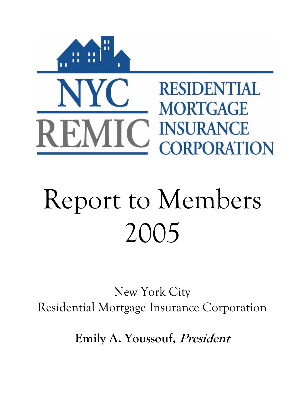

# Report to Members 2005

New York City Residential Mortgage Insurance Corporation

**Emily A. Youssouf, President**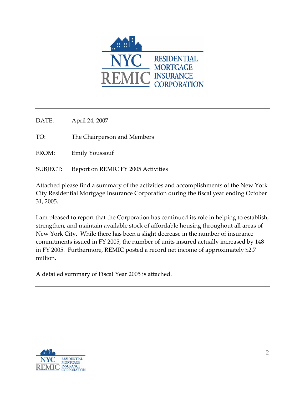

DATE: April 24, 2007

TO: The Chairperson and Members

FROM: Emily Youssouf

SUBJECT: Report on REMIC FY 2005 Activities

Attached please find a summary of the activities and accomplishments of the New York City Residential Mortgage Insurance Corporation during the fiscal year ending October 31, 2005.

I am pleased to report that the Corporation has continued its role in helping to establish, strengthen, and maintain available stock of affordable housing throughout all areas of New York City. While there has been a slight decrease in the number of insurance commitments issued in FY 2005, the number of units insured actually increased by 148 in FY 2005. Furthermore, REMIC posted a record net income of approximately \$2.7 million.

A detailed summary of Fiscal Year 2005 is attached.

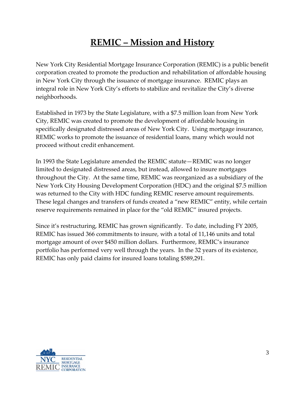## **REMIC – Mission and History**

New York City Residential Mortgage Insurance Corporation (REMIC) is a public benefit corporation created to promote the production and rehabilitation of affordable housing in New York City through the issuance of mortgage insurance. REMIC plays an integral role in New York City's efforts to stabilize and revitalize the City's diverse neighborhoods.

Established in 1973 by the State Legislature, with a \$7.5 million loan from New York City, REMIC was created to promote the development of affordable housing in specifically designated distressed areas of New York City. Using mortgage insurance, REMIC works to promote the issuance of residential loans, many which would not proceed without credit enhancement.

In 1993 the State Legislature amended the REMIC statute—REMIC was no longer limited to designated distressed areas, but instead, allowed to insure mortgages throughout the City. At the same time, REMIC was reorganized as a subsidiary of the New York City Housing Development Corporation (HDC) and the original \$7.5 million was returned to the City with HDC funding REMIC reserve amount requirements. These legal changes and transfers of funds created a "new REMIC" entity, while certain reserve requirements remained in place for the "old REMIC" insured projects.

Since it's restructuring, REMIC has grown significantly. To date, including FY 2005, REMIC has issued 366 commitments to insure, with a total of 11,146 units and total mortgage amount of over \$450 million dollars. Furthermore, REMIC's insurance portfolio has performed very well through the years. In the 32 years of its existence, REMIC has only paid claims for insured loans totaling \$589,291.

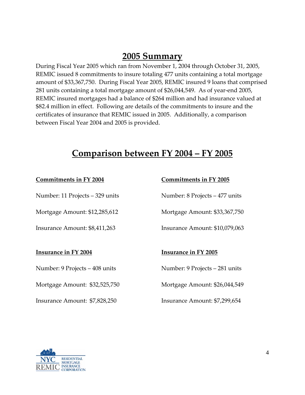#### **2005 Summary**

During Fiscal Year 2005 which ran from November 1, 2004 through October 31, 2005, REMIC issued 8 commitments to insure totaling 477 units containing a total mortgage amount of \$33,367,750. During Fiscal Year 2005, REMIC insured 9 loans that comprised 281 units containing a total mortgage amount of \$26,044,549. As of year‐end 2005, REMIC insured mortgages had a balance of \$264 million and had insurance valued at \$82.4 million in effect. Following are details of the commitments to insure and the certificates of insurance that REMIC issued in 2005. Additionally, a comparison between Fiscal Year 2004 and 2005 is provided.

#### **Comparison between FY 2004 – FY 2005**

| <b>Commitments in FY 2004</b>   | <b>Commitments in FY 2005</b>  |
|---------------------------------|--------------------------------|
| Number: 11 Projects – 329 units | Number: 8 Projects – 477 units |
| Mortgage Amount: \$12,285,612   | Mortgage Amount: \$33,367,750  |
| Insurance Amount: \$8,411,263   | Insurance Amount: \$10,079,063 |
|                                 |                                |
|                                 | <b>Insurance in FY 2005</b>    |
| <b>Insurance in FY 2004</b>     |                                |
| Number: 9 Projects – 408 units  | Number: 9 Projects – 281 units |
| Mortgage Amount: \$32,525,750   | Mortgage Amount: \$26,044,549  |

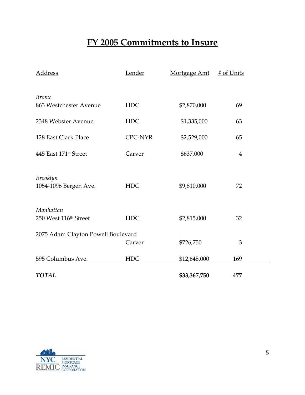## **FY 2005 Commitments to Insure**

| <b>TOTAL</b>                              |                | \$33,367,750 | 477            |  |
|-------------------------------------------|----------------|--------------|----------------|--|
| 595 Columbus Ave.                         | <b>HDC</b>     | \$12,645,000 | 169            |  |
|                                           | Carver         | \$726,750    | 3              |  |
| 2075 Adam Clayton Powell Boulevard        |                |              |                |  |
| <u>Manhattan</u><br>250 West 116th Street | <b>HDC</b>     | \$2,815,000  | 32             |  |
| <b>Brooklyn</b><br>1054-1096 Bergen Ave.  | <b>HDC</b>     | \$9,810,000  | 72             |  |
| 445 East 171 <sup>st</sup> Street         | Carver         | \$637,000    | $\overline{4}$ |  |
| 128 East Clark Place                      | <b>CPC-NYR</b> | \$2,529,000  | 65             |  |
| 2348 Webster Avenue                       | <b>HDC</b>     | \$1,335,000  | 63             |  |
| <u>Bronx</u><br>863 Westchester Avenue    | <b>HDC</b>     | \$2,870,000  | 69             |  |
| <b>Address</b>                            | Lender         | Mortgage Amt | # of Units     |  |

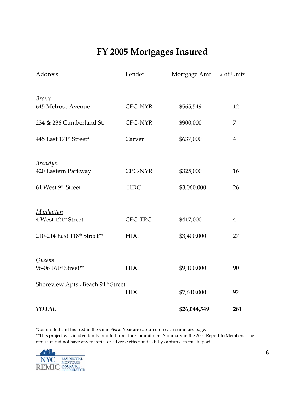## **FY 2005 Mortgages Insured**

| <b>TOTAL</b>                                   |                | \$26,044,549 | 281            |
|------------------------------------------------|----------------|--------------|----------------|
|                                                | <b>HDC</b>     | \$7,640,000  | 92             |
| Shoreview Apts., Beach 94 <sup>th</sup> Street |                |              |                |
| <u>Queens</u><br>96-06 161st Street**          | <b>HDC</b>     | \$9,100,000  | 90             |
| 210-214 East 118th Street**                    | <b>HDC</b>     | \$3,400,000  | 27             |
| <b>Manhattan</b><br>4 West 121st Street        | CPC-TRC        | \$417,000    | $\overline{4}$ |
| 64 West 9th Street                             | <b>HDC</b>     | \$3,060,000  | 26             |
| <b>Brooklyn</b><br>420 Eastern Parkway         | <b>CPC-NYR</b> | \$325,000    | 16             |
| 445 East 171st Street*                         | Carver         | \$637,000    | $\overline{4}$ |
| 234 & 236 Cumberland St.                       | CPC-NYR        | \$900,000    | $\overline{7}$ |
| <b>Bronx</b><br>645 Melrose Avenue             | <b>CPC-NYR</b> | \$565,549    | 12             |
| <b>Address</b>                                 | Lender         | Mortgage Amt | # of Units     |

\*Committed and Insured in the same Fiscal Year are captured on each summary page.

\*\*This project was inadvertently omitted from the Commitment Summary in the 2004 Report to Members. The omission did not have any material or adverse effect and is fully captured in this Report.

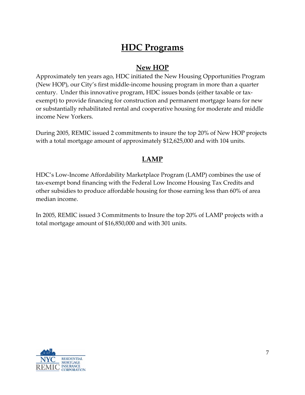### **HDC Programs**

#### **New HOP**

Approximately ten years ago, HDC initiated the New Housing Opportunities Program (New HOP), our City's first middle‐income housing program in more than a quarter century. Under this innovative program, HDC issues bonds (either taxable or tax‐ exempt) to provide financing for construction and permanent mortgage loans for new or substantially rehabilitated rental and cooperative housing for moderate and middle income New Yorkers.

During 2005, REMIC issued 2 commitments to insure the top 20% of New HOP projects with a total mortgage amount of approximately \$12,625,000 and with 104 units.

#### **LAMP**

HDC's Low-Income Affordability Marketplace Program (LAMP) combines the use of tax‐exempt bond financing with the Federal Low Income Housing Tax Credits and other subsidies to produce affordable housing for those earning less than 60% of area median income.

In 2005, REMIC issued 3 Commitments to Insure the top 20% of LAMP projects with a total mortgage amount of \$16,850,000 and with 301 units.

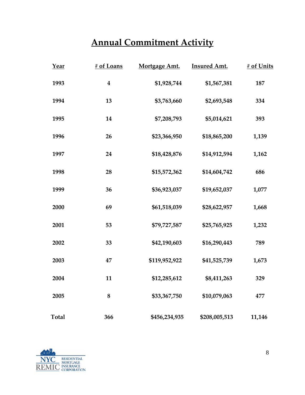# **Annual Commitment Activity**

| Year         | # of Loans       | Mortgage Amt. | <b>Insured Amt.</b> | # of Units |
|--------------|------------------|---------------|---------------------|------------|
| 1993         | $\boldsymbol{4}$ | \$1,928,744   | \$1,567,381         | 187        |
| 1994         | 13               | \$3,763,660   | \$2,693,548         | 334        |
| 1995         | 14               | \$7,208,793   | \$5,014,621         | 393        |
| 1996         | 26               | \$23,366,950  | \$18,865,200        | 1,139      |
| 1997         | 24               | \$18,428,876  | \$14,912,594        | 1,162      |
| 1998         | 28               | \$15,572,362  | \$14,604,742        | 686        |
| 1999         | 36               | \$36,923,037  | \$19,652,037        | 1,077      |
| 2000         | 69               | \$61,518,039  | \$28,622,957        | 1,668      |
| 2001         | 53               | \$79,727,587  | \$25,765,925        | 1,232      |
| 2002         | 33               | \$42,190,603  | \$16,290,443        | 789        |
| 2003         | 47               | \$119,952,922 | \$41,525,739        | 1,673      |
| 2004         | 11               | \$12,285,612  | \$8,411,263         | 329        |
| 2005         | ${\bf 8}$        | \$33,367,750  | \$10,079,063        | 477        |
| <b>Total</b> | 366              | \$456,234,935 | \$208,005,513       | 11,146     |

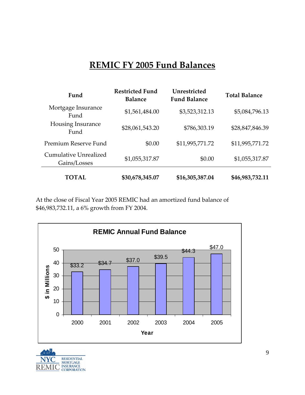#### **REMIC FY 2005 Fund Balances**

| Fund                                  | <b>Restricted Fund</b><br><b>Balance</b> | Unrestricted<br><b>Fund Balance</b> | <b>Total Balance</b> |
|---------------------------------------|------------------------------------------|-------------------------------------|----------------------|
| Mortgage Insurance<br>Fund            | \$1,561,484.00                           | \$3,523,312.13                      | \$5,084,796.13       |
| Housing Insurance<br>Fund             | \$28,061,543.20                          | \$786,303.19                        | \$28,847,846.39      |
| Premium Reserve Fund                  | \$0.00                                   | \$11,995,771.72                     | \$11,995,771.72      |
| Cumulative Unrealized<br>Gains/Losses | \$1,055,317.87                           | \$0.00                              | \$1,055,317.87       |
| <b>TOTAL</b>                          | \$30,678,345.07                          | \$16,305,387.04                     | \$46,983,732.11      |

At the close of Fiscal Year 2005 REMIC had an amortized fund balance of \$46,983,732.11, a 6% growth from FY 2004.



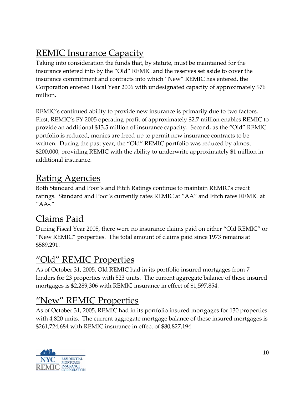# REMIC Insurance Capacity

Taking into consideration the funds that, by statute, must be maintained for the insurance entered into by the "Old" REMIC and the reserves set aside to cover the insurance commitment and contracts into which "New" REMIC has entered, the Corporation entered Fiscal Year 2006 with undesignated capacity of approximately \$76 million.

REMIC's continued ability to provide new insurance is primarily due to two factors. First, REMIC's FY 2005 operating profit of approximately \$2.7 million enables REMIC to provide an additional \$13.5 million of insurance capacity. Second, as the "Old" REMIC portfolio is reduced, monies are freed up to permit new insurance contracts to be written. During the past year, the "Old" REMIC portfolio was reduced by almost \$200,000, providing REMIC with the ability to underwrite approximately \$1 million in additional insurance.

## Rating Agencies

Both Standard and Poor's and Fitch Ratings continue to maintain REMIC's credit ratings. Standard and Poor's currently rates REMIC at "AA" and Fitch rates REMIC at  $^{\prime\prime}$ AA- $^{\prime\prime}$ 

## Claims Paid

During Fiscal Year 2005, there were no insurance claims paid on either "Old REMIC" or "New REMIC" properties. The total amount of claims paid since 1973 remains at \$589,291.

# "Old" REMIC Properties

As of October 31, 2005, Old REMIC had in its portfolio insured mortgages from 7 lenders for 23 properties with 523 units. The current aggregate balance of these insured mortgages is \$2,289,306 with REMIC insurance in effect of \$1,597,854.

## "New" REMIC Properties

As of October 31, 2005, REMIC had in its portfolio insured mortgages for 130 properties with 4,820 units. The current aggregate mortgage balance of these insured mortgages is \$261,724,684 with REMIC insurance in effect of \$80,827,194.

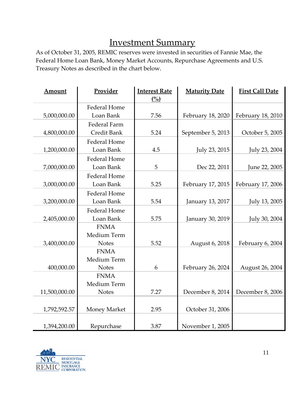#### Investment Summary

As of October 31, 2005, REMIC reserves were invested in securities of Fannie Mae, the Federal Home Loan Bank, Money Market Accounts, Repurchase Agreements and U.S. Treasury Notes as described in the chart below.

| Amount        | Provider            | <b>Interest Rate</b> | <b>Maturity Date</b> | <b>First Call Date</b> |
|---------------|---------------------|----------------------|----------------------|------------------------|
|               |                     | $($ %)               |                      |                        |
|               | <b>Federal Home</b> |                      |                      |                        |
| 5,000,000.00  | Loan Bank           | 7.56                 | February 18, 2020    | February 18, 2010      |
|               | Federal Farm        |                      |                      |                        |
| 4,800,000.00  | Credit Bank         | 5.24                 | September 5, 2013    | October 5, 2005        |
|               | Federal Home        |                      |                      |                        |
| 1,200,000.00  | Loan Bank           | 4.5                  | July 23, 2015        | July 23, 2004          |
|               | <b>Federal Home</b> |                      |                      |                        |
| 7,000,000.00  | Loan Bank           | 5                    | Dec 22, 2011         | June 22, 2005          |
|               | Federal Home        |                      |                      |                        |
| 3,000,000.00  | Loan Bank           | 5.25                 | February 17, 2015    | February 17, 2006      |
|               | <b>Federal Home</b> |                      |                      |                        |
| 3,200,000.00  | Loan Bank           | 5.54                 | January 13, 2017     | July 13, 2005          |
|               | <b>Federal Home</b> |                      |                      |                        |
| 2,405,000.00  | Loan Bank           | 5.75                 | January 30, 2019     | July 30, 2004          |
|               | <b>FNMA</b>         |                      |                      |                        |
|               | Medium Term         |                      |                      |                        |
| 3,400,000.00  | <b>Notes</b>        | 5.52                 | August 6, 2018       | February 6, 2004       |
|               | <b>FNMA</b>         |                      |                      |                        |
|               | Medium Term         |                      |                      |                        |
| 400,000.00    | <b>Notes</b>        | 6                    | February 26, 2024    | August 26, 2004        |
|               | <b>FNMA</b>         |                      |                      |                        |
|               | Medium Term         |                      |                      |                        |
| 11,500,000.00 | <b>Notes</b>        | 7.27                 | December 8, 2014     | December 8, 2006       |
|               |                     |                      |                      |                        |
| 1,792,592.57  | Money Market        | 2.95                 | October 31, 2006     |                        |
|               |                     |                      |                      |                        |
| 1,394,200.00  | Repurchase          | 3.87                 | November 1, 2005     |                        |

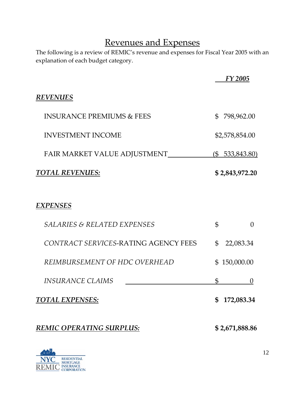## Revenues and Expenses

The following is a review of REMIC's revenue and expenses for Fiscal Year 2005 with an explanation of each budget category.

|                                        |                | FY 2005                  |
|----------------------------------------|----------------|--------------------------|
| <b>REVENUES</b>                        |                |                          |
| <b>INSURANCE PREMIUMS &amp; FEES</b>   |                | \$798,962.00             |
| <b>INVESTMENT INCOME</b>               |                | \$2,578,854.00           |
| FAIR MARKET VALUE ADJUSTMENT           |                | $(\frac{$}{533,843.80})$ |
| <b>TOTAL REVENUES:</b>                 |                | \$2,843,972.20           |
|                                        |                |                          |
| <b>EXPENSES</b>                        |                |                          |
| <b>SALARIES &amp; RELATED EXPENSES</b> | $\mathfrak{S}$ | $\overline{0}$           |
| CONTRACT SERVICES-RATING AGENCY FEES   | $\mathbb{S}^-$ | 22,083.34                |
| REIMBURSEMENT OF HDC OVERHEAD          |                | \$150,000.00             |
| <b>INSURANCE CLAIMS</b>                | \$             | $\theta$                 |
| <b>TOTAL EXPENSES:</b>                 |                | \$172,083.34             |
| <b>REMIC OPERATING SURPLUS:</b>        |                | \$2,671,888.86           |